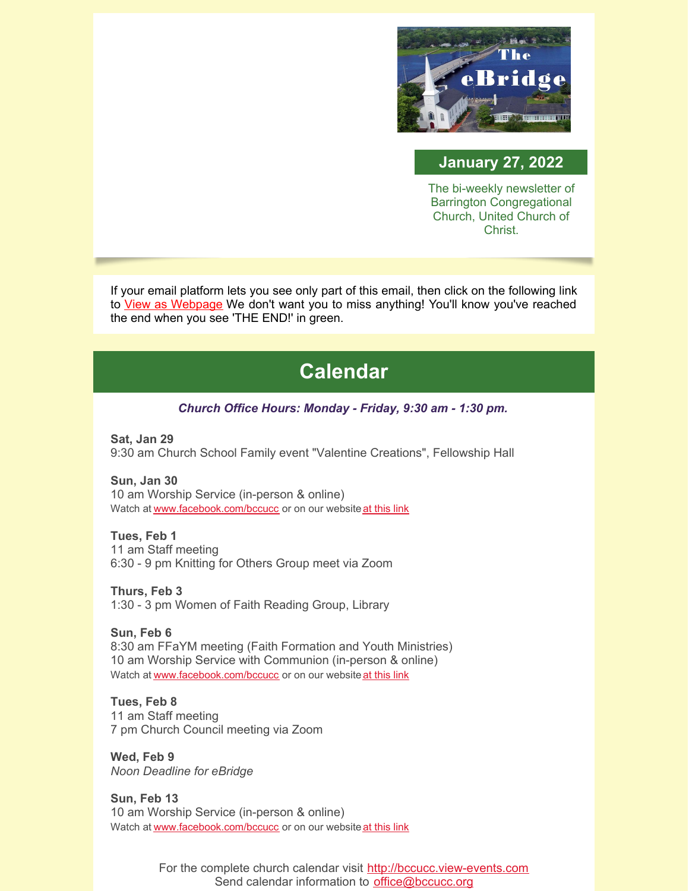

### **January 27, 2022**

The bi-weekly newsletter of Barrington Congregational Church, United Church of Christ.

If your email platform lets you see only part of this email, then click on the following link to View as [Webpage](https://campaignlp.constantcontact.com/em/1102946372254/f6cf7147-a226-49b1-9519-9baa88ffbf14) We don't want you to miss anything! You'll know you've reached the end when you see 'THE END!' in green.

# **Calendar**

#### *Church Office Hours: Monday - Friday, 9:30 am - 1:30 pm.*

**Sat, Jan 29** 9:30 am Church School Family event "Valentine Creations", Fellowship Hall

**Sun, Jan 30** 10 am Worship Service (in-person & online) Watch at [www.facebook.com/bccucc](http://www.facebook.com/bccucc) or on our website at [this](https://bccucc.org/live-stream-2/) link

**Tues, Feb 1** 11 am Staff meeting 6:30 - 9 pm Knitting for Others Group meet via Zoom

**Thurs, Feb 3** 1:30 - 3 pm Women of Faith Reading Group, Library

**Sun, Feb 6** 8:30 am FFaYM meeting (Faith Formation and Youth Ministries) 10 am Worship Service with Communion (in-person & online) Watch at [www.facebook.com/bccucc](http://www.facebook.com/bccucc) or on our website at [this](https://bccucc.org/live-stream-2/) link

**Tues, Feb 8** 11 am Staff meeting 7 pm Church Council meeting via Zoom

**Wed, Feb 9** *Noon Deadline for eBridge*

**Sun, Feb 13** 10 am Worship Service (in-person & online) Watch at [www.facebook.com/bccucc](http://www.facebook.com/bccucc) or on our website at [this](https://bccucc.org/live-stream-2/) link

> For the complete church calendar visit [http://bccucc.view-events.com](http://bccucc.view-events.com/) Send calendar information to **[office@bccucc.org](mailto:office@bccucc.org)**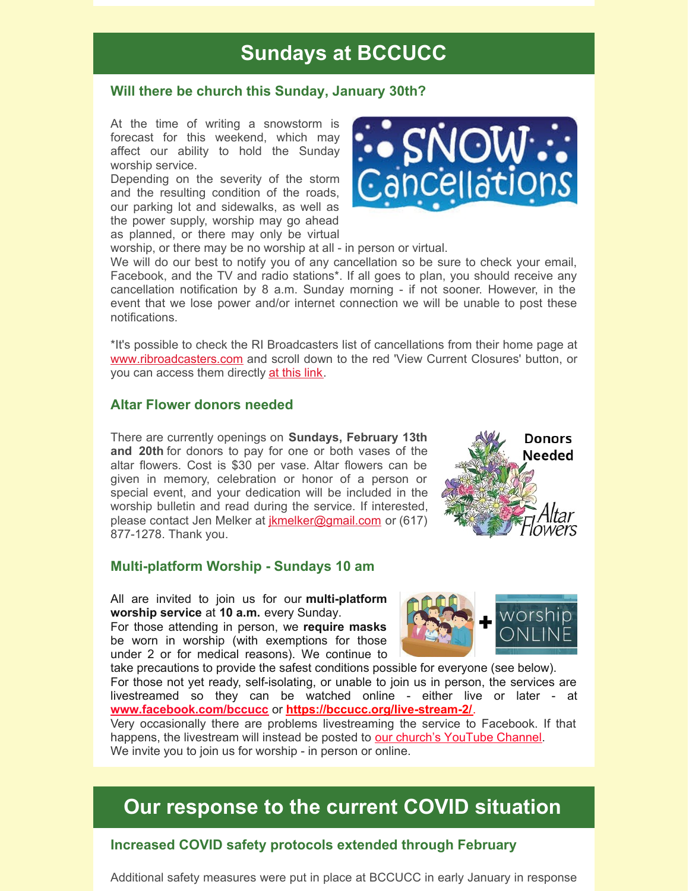# **Sundays at BCCUCC**

#### **Will there be church this Sunday, January 30th?**

At the time of writing a snowstorm is forecast for this weekend, which may affect our ability to hold the Sunday worship service.

Depending on the severity of the storm and the resulting condition of the roads, our parking lot and sidewalks, as well as the power supply, worship may go ahead as planned, or there may only be virtual



worship, or there may be no worship at all - in person or virtual.

We will do our best to notify you of any cancellation so be sure to check your email, Facebook, and the TV and radio stations\*. If all goes to plan, you should receive any cancellation notification by 8 a.m. Sunday morning - if not sooner. However, in the event that we lose power and/or internet connection we will be unable to post these notifications.

\*It's possible to check the RI Broadcasters list of cancellations from their home page at [www.ribroadcasters.com](http://www.ribroadcasters.com) and scroll down to the red 'View Current Closures' button, or you can access them directly at [this](https://www.ribroadcasters.com/News_and_Events/Closings_Delays/) link.

#### **Altar Flower donors needed**

There are currently openings on **Sundays, February 13th and 20th** for donors to pay for one or both vases of the altar flowers. Cost is \$30 per vase. Altar flowers can be given in memory, celebration or honor of a person or special event, and your dedication will be included in the worship bulletin and read during the service. If interested, please contact Jen Melker at [jkmelker@gmail.com](mailto:jkmelker@gmail.com) or (617) 877-1278. Thank you.



#### **Multi-platform Worship - Sundays 10 am**

All are invited to join us for our **multi-platform worship service** at **10 a.m.** every Sunday.

For those attending in person, we **require masks** be worn in worship (with exemptions for those under 2 or for medical reasons). We continue to



take precautions to provide the safest conditions possible for everyone (see below). For those not yet ready, self-isolating, or unable to join us in person, the services are livestreamed so they can be watched online - either live or later - at **[www.facebook.com/bccucc](http://www.facebook.com/bccucc)** or **<https://bccucc.org/live-stream-2/>**.

Very occasionally there are problems livestreaming the service to Facebook. If that happens, the livestream will instead be posted to our church's [YouTube](https://www.youtube.com/channel/UCBjKZdn4bkIM7sMtAuxgNnQ) Channel. We invite you to join us for worship - in person or online.

## **Our response to the current COVID situation**

#### **Increased COVID safety protocols extended through February**

Additional safety measures were put in place at BCCUCC in early January in response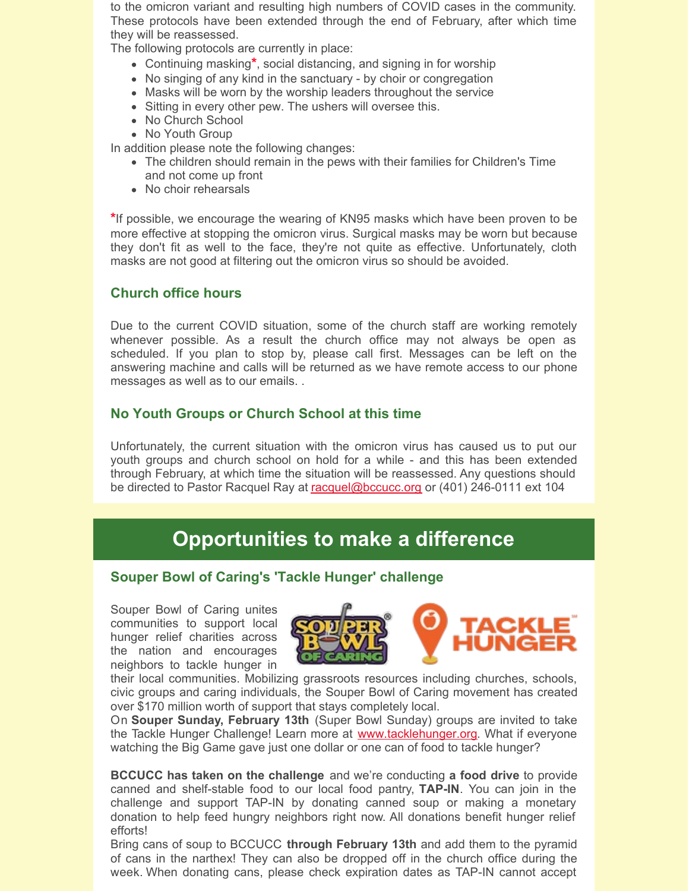to the omicron variant and resulting high numbers of COVID cases in the community. These protocols have been extended through the end of February, after which time they will be reassessed.

The following protocols are currently in place:

- Continuing masking**\***, social distancing, and signing in for worship
- No singing of any kind in the sanctuary by choir or congregation
- Masks will be worn by the worship leaders throughout the service
- Sitting in every other pew. The ushers will oversee this.
- No Church School
- No Youth Group

In addition please note the following changes:

- The children should remain in the pews with their families for Children's Time and not come up front
- No choir rehearsals

**\***If possible, we encourage the wearing of KN95 masks which have been proven to be more effective at stopping the omicron virus. Surgical masks may be worn but because they don't fit as well to the face, they're not quite as effective. Unfortunately, cloth masks are not good at filtering out the omicron virus so should be avoided.

#### **Church office hours**

Due to the current COVID situation, some of the church staff are working remotely whenever possible. As a result the church office may not always be open as scheduled. If you plan to stop by, please call first. Messages can be left on the answering machine and calls will be returned as we have remote access to our phone messages as well as to our emails. .

#### **No Youth Groups or Church School at this time**

Unfortunately, the current situation with the omicron virus has caused us to put our youth groups and church school on hold for a while - and this has been extended through February, at which time the situation will be reassessed. Any questions should be directed to Pastor Racquel Ray at [racquel@bccucc.org](mailto:racquel@bccucc.org) or (401) 246-0111 ext 104

## **Opportunities to make a difference**

#### **Souper Bowl of Caring's 'Tackle Hunger' challenge**

Souper Bowl of Caring unites communities to support local hunger relief charities across the nation and encourages neighbors to tackle hunger in



their local communities. Mobilizing grassroots resources including churches, schools, civic groups and caring individuals, the Souper Bowl of Caring movement has created over \$170 million worth of support that stays completely local.

On **Souper Sunday, February 13th** (Super Bowl Sunday) groups are invited to take the Tackle Hunger Challenge! Learn more at **[www.tacklehunger.org](http://www.tacklehunger.org/)**. What if everyone watching the Big Game gave just one dollar or one can of food to tackle hunger?

**BCCUCC has taken on the challenge** and we're conducting **a food drive** to provide canned and shelf-stable food to our local food pantry, **TAP-IN**. You can join in the challenge and support TAP-IN by donating canned soup or making a monetary donation to help feed hungry neighbors right now. All donations benefit hunger relief efforts!

Bring cans of soup to BCCUCC **through February 13th** and add them to the pyramid of cans in the narthex! They can also be dropped off in the church office during the week. When donating cans, please check expiration dates as TAP-IN cannot accept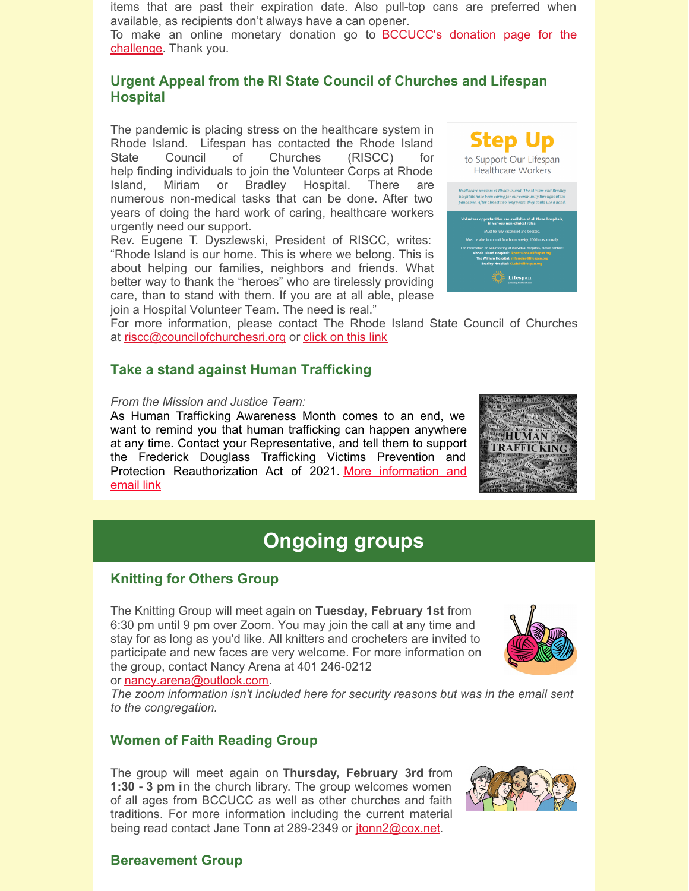items that are past their expiration date. Also pull-top cans are preferred when available, as recipients don't always have a can opener.

To make an online monetary donation go to **[BCCUCC's](https://map.tacklehunger.org/donate/barringtoncc) donation page for the** challenge. Thank you.

### **Urgent Appeal from the RI State Council of Churches and Lifespan Hospital**

The pandemic is placing stress on the healthcare system in Rhode Island. Lifespan has contacted the Rhode Island State Council of Churches (RISCC) for help finding individuals to join the Volunteer Corps at Rhode Island, Miriam or Bradley Hospital. There are numerous non-medical tasks that can be done. After two years of doing the hard work of caring, healthcare workers urgently need our support.

Rev. Eugene T. Dyszlewski, President of RISCC, writes: "Rhode Island is our home. This is where we belong. This is about helping our families, neighbors and friends. What better way to thank the "heroes" who are tirelessly providing care, than to stand with them. If you are at all able, please join a Hospital Volunteer Team. The need is real."



For more information, please contact The Rhode Island State Council of Churches at [riscc@councilofchurchesri.org](mailto:riscc@councilofchurchesri.org) or [click](https://files.constantcontact.com/e9a0abcc001/566878a6-c5c8-47b9-9d30-52ad802f6a14.pdf) on this link

#### **Take a stand against Human Trafficking**

#### *From the Mission and Justice Team:*

As Human Trafficking Awareness Month comes to an end, we want to remind you that human trafficking can happen anywhere at any time. Contact your Representative, and tell them to support the Frederick Douglass Trafficking Victims Prevention and Protection [Reauthorization](https://p2a.co/xzK8L7B?fbclid=IwAR3TPz-njNq2Ln9qiSh7kH0LEHvNvlIGw401kix6NfP5TQhMR-Ti_y4D_h8) Act of 2021. More information and email link



# **Ongoing groups**

### **Knitting for Others Group**

The Knitting Group will meet again on **Tuesday, February 1st** from 6:30 pm until 9 pm over Zoom. You may join the call at any time and stay for as long as you'd like. All knitters and crocheters are invited to participate and new faces are very welcome. For more information on the group, contact Nancy Arena at 401 246-0212 or [nancy.arena@outlook.com](mailto:nancy.arena@outlook.com).



*The zoom information isn't included here for security reasons but was in the email sent to the congregation.*

#### **Women of Faith Reading Group**

The group will meet again on **Thursday, February 3rd** from **1:30 - 3 pm i**n the church library. The group welcomes women of all ages from BCCUCC as well as other churches and faith traditions. For more information including the current material being read contact Jane Tonn at 289-2349 or [jtonn2@cox.net](mailto:jtonn2@cox.net).



#### **Bereavement Group**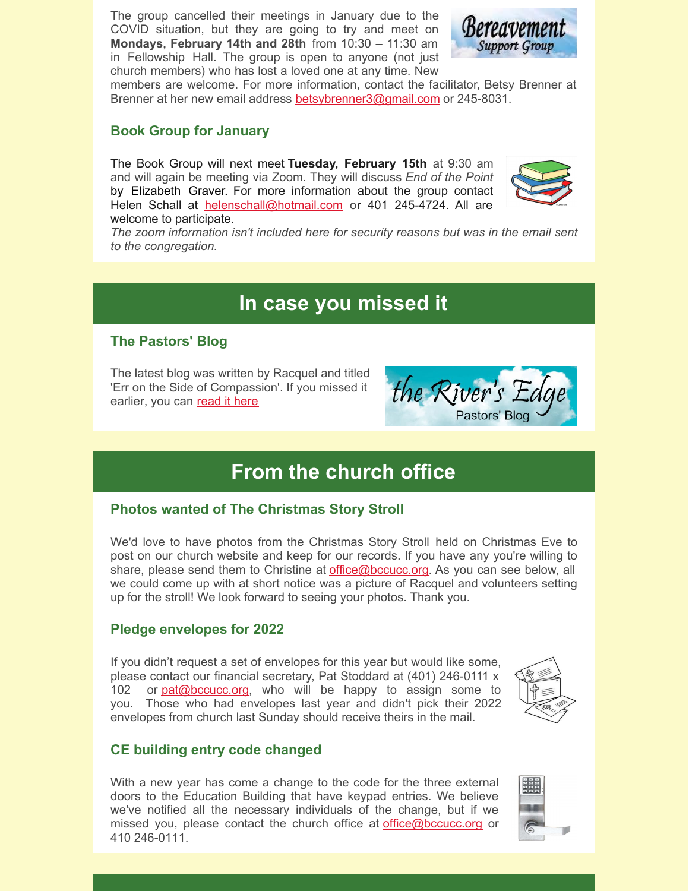The group cancelled their meetings in January due to the COVID situation, but they are going to try and meet on **Mondays, February 14th and 28th** from 10:30 – 11:30 am in Fellowship Hall. The group is open to anyone (not just church members) who has lost a loved one at any time. New



members are welcome. For more information, contact the facilitator, Betsy Brenner at Brenner at her new email address [betsybrenner3@gmail.com](mailto:betsybrenner3@gmail.com) or 245-8031.

#### **Book Group for January**

The Book Group will next meet **Tuesday, February 15th** at 9:30 am and will again be meeting via Zoom. They will discuss *End of the Point* by Elizabeth Graver. For more information about the group contact Helen Schall at [helenschall@hotmail.com](mailto:helenschall@hotmail.com) or 401 245-4724. All are welcome to participate.



*The zoom information isn't included here for security reasons but was in the email sent to the congregation.*

## **In case you missed it**

#### **The Pastors' Blog**

The latest blog was written by Racquel and titled 'Err on the Side of Compassion'. If you missed it earlier, you can [read](https://bccucc.org/err-on-the-side-of-compassion/) it here

the River' Pastors' Bloo

## **From the church office**

#### **Photos wanted of The Christmas Story Stroll**

We'd love to have photos from the Christmas Story Stroll held on Christmas Eve to post on our church website and keep for our records. If you have any you're willing to share, please send them to Christine at *[office@bccucc.org](mailto:office@bccucc.org)*. As you can see below, all we could come up with at short notice was a picture of Racquel and volunteers setting up for the stroll! We look forward to seeing your photos. Thank you.

#### **Pledge envelopes for 2022**

If you didn't request a set of envelopes for this year but would like some, please contact our financial secretary, Pat Stoddard at (401) 246-0111 x 102 or  $pat@bccucc.org$ , who will be happy to assign some to you. Those who had envelopes last year and didn't pick their 2022 envelopes from church last Sunday should receive theirs in the mail.



#### **CE building entry code changed**

With a new year has come a change to the code for the three external doors to the Education Building that have keypad entries. We believe we've notified all the necessary individuals of the change, but if we missed you, please contact the church office at [office@bccucc.org](mailto:office@bccucc.org) or 410 246-0111.

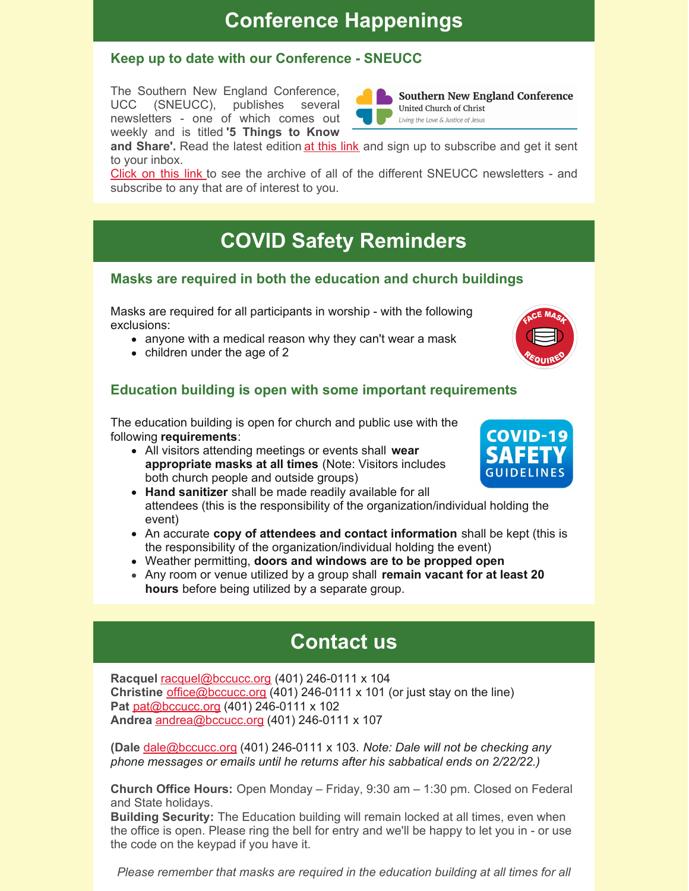## **Conference Happenings**

### **Keep up to date with our Conference - SNEUCC**

The Southern New England Conference, UCC (SNEUCC), publishes several newsletters - one of which comes out weekly and is titled **'5 Things to Know**



**Southern New England Conference** United Church of Christ Living the Love & Justice of Jesus

**and Share'.** Read the latest edition at [this](http://sneucc-email.brtapp.com/viewinsite/6e373982cf8d4635c6bb98d800f3a91a?email=office@bccucc.org) link and sign up to subscribe and get it sent to your inbox.

[Click](http://r20.rs6.net/tn.jsp?f=001e8o9X4j8x6IOcUqsMj8ESumQ_-XrimigaGAJrqnV76sb4kvaUeqPVOzf33mqnifpRdyTxEVBrI4CAIf0rFOkhdDzMHvJppRHyZIq_2D1txhHlXAVoTi0GxTsasYr0cRy_9ERmrD6vlnnWUle5N_LO38p3DRQhfkC&c=BWZrLHb0up465m0DfwOi3dqwUvDbuTYCXKOk1NeFvZaraYhUZgIZxA==&ch=D5eSjmNCf95ADRjiaDEGE5dP5geDdt1LSwpAHHgJTIYSS37sivt4ow==) on this link to see the archive of all of the different SNEUCC newsletters - and subscribe to any that are of interest to you.

# **COVID Safety Reminders**

#### **Masks are required in both the education and church buildings**

Masks are required for all participants in worship - with the following exclusions:

- anyone with a medical reason why they can't wear a mask
- children under the age of 2

## **Education building is open with some important requirements**

The education building is open for church and public use with the following **requirements**:

All visitors attending meetings or events shall **wear appropriate masks at all times** (Note: Visitors includes both church people and outside groups)



- **Hand sanitizer** shall be made readily available for all attendees (this is the responsibility of the organization/individual holding the event)
- An accurate **copy of attendees and contact information** shall be kept (this is the responsibility of the organization/individual holding the event)
- Weather permitting, **doors and windows are to be propped open**
- Any room or venue utilized by a group shall **remain vacant for at least 20 hours** before being utilized by a separate group.

# **Contact us**

**Racquel** [racquel@bccucc.org](mailto:racquel@bccucc.org) (401) 246-0111 x 104 **Christine** [office@bccucc.org](mailto:office@bccucc.org) (401) 246-0111 x 101 (or just stay on the line) **Pat** [pat@bccucc.org](mailto:pat@bccucc.org) (401) 246-0111 x 102 **Andrea** [andrea@bccucc.org](mailto:andrea@bccucc.org) (401) 246-0111 x 107

**(Dale** [dale@bccucc.org](mailto:dale@bccucc.org) (401) 246-0111 x 103. *Note: Dale will not be checking any phone messages or emails until he returns after his sabbatical ends on 2/22/22.)*

**Church Office Hours:** Open Monday – Friday, 9:30 am – 1:30 pm. Closed on Federal and State holidays.

**Building Security:** The Education building will remain locked at all times, even when the office is open. Please ring the bell for entry and we'll be happy to let you in - or use the code on the keypad if you have it.

*Please remember that masks are required in the education building at all times for all*